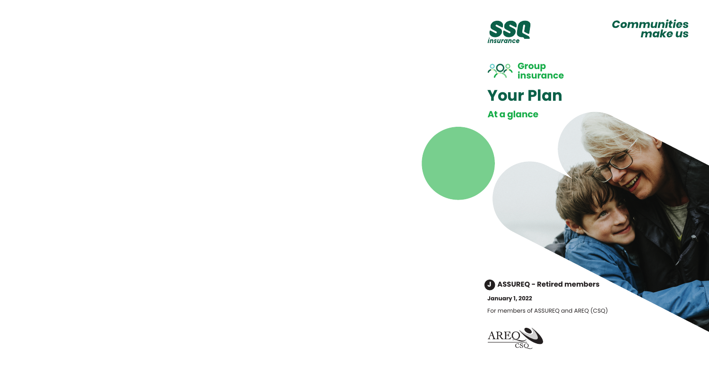







# **At a glance**

**J ASSUREQ - Retired members**

**January 1, 2022**

For members of ASSUREQ and AREQ (CSQ)

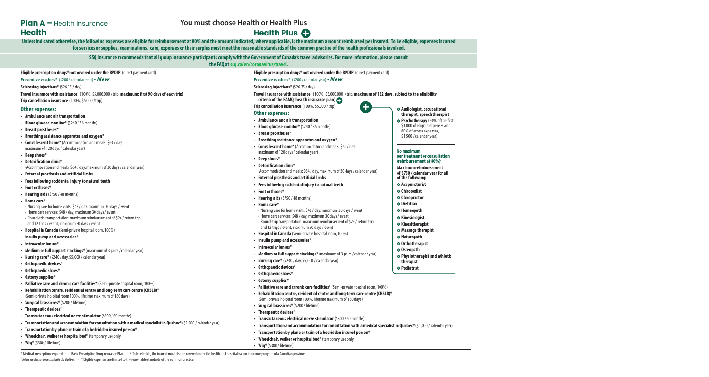# **Plan A –** Health Insurance **Health**

## **You must choose Health or Health Plus**

# **Health Plus**

Unless indicated otherwise, the following expenses are eligible for reimbursement at 80% and the amount indicated, where applicable, is the maximum amount reimbursed per insured. To be eligible, expenses incurred **for services or supplies, examinations, care, expenses or their surplus must meet the reasonable standards of the common practice of the health professionals involved.**

> **SSQ Insurance recommends that all group insurance participants comply with the Government of Canada's travel advisories. For more information, please consult the FAQ at[ssq.ca/en/coronavirus/travel.](http://ssq.ca/en/coronavirus/travel)**

### **Eligible prescription drugs\* not covered under the BPDIP**<sup>1</sup> (direct payment card)

## **Preventive vaccines\*** (\$200 / calendar year) *- New*

**Sclerosing injections\*** (\$26.25 / day)

**Travel insurance with assistance**2 (100%, \$5,000,000 / trip, **maximum: first 90 days of each trip) Trip cancellation insurance** (100%, \$5,000 / trip)

## **Other expenses:**

- **Ambulance and air transportation**
- **• Blood glucose monitor\*** (\$240 / 36 months)
- **• Breast prostheses\***
- **• Breathing assistance apparatus and oxygen\***
- **• Convalescent home\*** (Accommodation and meals: \$60 / day, maximum of 120 days / calendar year)
- **• Deep shoes\***
- **• Detoxification clinic\***
	- (Accommodation and meals: \$64 / day, maximum of 30 days / calendar year)
- **• External prosthesis and artificial limbs**
- **• Fees following accidental injury to natural teeth**
- **• Foot orthoses\***
- **• Hearing aids** (\$750 / 48 months)
- **• Home care\***
- Nursing care for home visits: \$48 / day, maximum 30 days / event
- Home care services: \$48 / day, maximum 30 days / event
- Round-trip transportation: maximum reimbursement of \$24 / return trip and 12 trips / event, maximum 30 days / event
- **• Hospital in Canada** (Semi-private hospital room, 100%)
- **• Insulin pump and accessories\***
- **• Intraocular lenses\***
- **• Medium or full support stockings\*** (maximum of 3 pairs / calendar year)
- **• Nursing care\*** (\$240 / day, \$5,000 / calendar year)
- **• Orthopaedic devices\***
- **• Orthopaedic shoes\***
- **• Ostomy supplies\***
- **• Palliative care and chronic care facilities\*** (Semi-private hospital room, 100%)
- **• Rehabilitation centre, residential centre and long-term care centre (CHSLD)\*** (Semi-private hospital room 100%, lifetime maximum of 180 days)
- **• Surgical brassieres\*** (\$200 / lifetime)
- **• Therapeutic devices\***
- **• Transcutaneous electrical nerve stimulator** (\$800 / 60 months)
- **• Transportation and accommodation for consultation with a medical specialist in Quebec\*** (\$1,000 / calendar year)
- **• Transportation by plane or train of a bedridden insured person\***
- **• Wheelchair, walker or hospital bed\*** (temporary use only)
- **• Wig\*** (\$300 / lifetime)

**Eligible prescription drugs\* not covered under the BPDIP**<sup>1</sup> (direct payment card)

## **Preventive vaccines\*** (\$200 / calendar year) *- New*

**Sclerosing injections\*** (\$26.25 / day)

**Travel insurance with assistance**2 (100%, \$5,000,000 / trip, **maximum of 182 days, subject to the eligibility criteria of the RAMQ3 health insurance plan**)

**Trip cancellation insurance** (100%, \$5,000 / trip)

## **Other expenses:**

- **Ambulance and air transportation**
- **• Blood glucose monitor\*** (\$240 / 36 months)
- **• Breast prostheses\***
- **• Breathing assistance apparatus and oxygen\***
- **• Convalescent home\*** (Accommodation and meals: \$60 / day, maximum of 120 days / calendar year)
- **• Deep shoes\***
- **• Detoxification clinic\***
- (Accommodation and meals: \$64 / day, maximum of 30 days / calendar year)
- **• External prosthesis and artificial limbs**
- **• Fees following accidental injury to natural teeth**
- **• Foot orthoses\***
- **• Hearing aids** (\$750 / 48 months)
- **• Home care\*** 
	- Nursing care for home visits: \$48 / day, maximum 30 days / event
	- Home care services: \$48 / day, maximum 30 days / event
	- Round-trip transportation: maximum reimbursement of \$24 / return trip and 12 trips / event, maximum 30 days / event
- **• Hospital in Canada** (Semi-private hospital room, 100%)
- **• Insulin pump and accessories\***
- **• Intraocular lenses\***
- **• Medium or full support stockings\*** (maximum of 3 pairs / calendar year)
- **• Nursing care\*** (\$240 / day, \$5,000 / calendar year)
- **• Orthopaedic devices\***
- **• Orthopaedic shoes\***
- **• Ostomy supplies\***
- **• Palliative care and chronic care facilities\*** (Semi-private hospital room, 100%)
- **• Rehabilitation centre, residential centre and long-term care centre (CHSLD)\*** (Semi-private hospital room 100%, lifetime maximum of 180 days)
- **• Surgical brassieres\*** (\$200 / lifetime)
- **• Therapeutic devices\***
- **• Transcutaneous electrical nerve stimulator** (\$800 / 60 months)
- **• Transportation and accommodation for consultation with a medical specialist in Quebec\*** (\$1,000 / calendar year)
- **• Transportation by plane or train of a bedridden insured person\***
- **• Wheelchair, walker or hospital bed\*** (temporary use only)
- **• Wig\*** (\$300 / lifetime)

\* Medical prescription required - 1Basic Prescription Drug Insurance Plan - 2 To be eligible, the insured must also be covered under the health and hospitalization insurance program of a Canadian province. <sup>3</sup> Régie de l'assurance maladie du Québec - <sup>4</sup> Eligible expenses are limited to the reasonable standards of the common practice.

- **Audiologist, occupational therapist, speech therapist Psychotherapy** (50% of the first
- \$1,000 of eligible expenses and 80% of excess expenses, \$1,500 / calendar year)

#### **No maximum per treatment or consultation (reimbursement at 80%)4**

#### **Maximum reimbursement of \$750 / calendar year for all of the following:**

- **Acupuncturist**
- **Chiropodist**
- **Chiropractor**
- $O$  Dietitian
- **Homeopath**
- **Kinesiologist**
- $O$  Kinesitherapist
- **Massage therapist**
- **Naturopath**
- **Orthotherapist**
- **Osteopath**
- **Physiotherapist and athletic therapist**
- $P$ **Podiatrist**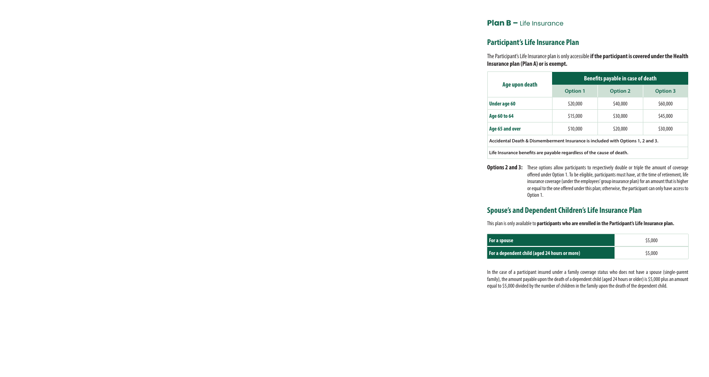## **Plan B –** Life Insurance

## **Participant's Life Insurance Plan**

The Participant's Life Insurance plan is only accessible **if the participant is covered under the Health Insurance plan (Plan A) or is exempt.**

| Age upon death                                                                  | <b>Benefits payable in case of death</b> |                 |                 |  |
|---------------------------------------------------------------------------------|------------------------------------------|-----------------|-----------------|--|
|                                                                                 | <b>Option 1</b>                          | <b>Option 2</b> | <b>Option 3</b> |  |
| Under age 60                                                                    | \$20,000                                 | \$40,000        | \$60,000        |  |
| Age 60 to 64                                                                    | \$15,000                                 | \$30,000        | \$45,000        |  |
| Age 65 and over                                                                 | \$10,000                                 | \$20,000        | \$30,000        |  |
| Accidental Death & Dismemberment Insurance is included with Options 1, 2 and 3. |                                          |                 |                 |  |
| Life Insurance benefits are payable regardless of the cause of death.           |                                          |                 |                 |  |

**Options 2 and 3:** These options allow participants to respectively double or triple the amount of coverage offered under Option 1. To be eligible, participants must have, at the time of retirement, life insurance coverage (under the employees' group insurance plan) for an amount that is higher or equal to the one offered under this plan; otherwise, the participant can only have access to Option 1.

# **Spouse's and Dependent Children's Life Insurance Plan**

This plan is only available to **participants who are enrolled in the Participant's Life Insurance plan.**

| For a spouse                                  | \$5,000 |
|-----------------------------------------------|---------|
| For a dependent child (aged 24 hours or more) | \$5,000 |

In the case of a participant insured under a family coverage status who does not have a spouse (single-parent family), the amount payable upon the death of a dependent child (aged 24 hours or older) is \$5,000 plus an amount equal to \$5,000 divided by the number of children in the family upon the death of the dependent child.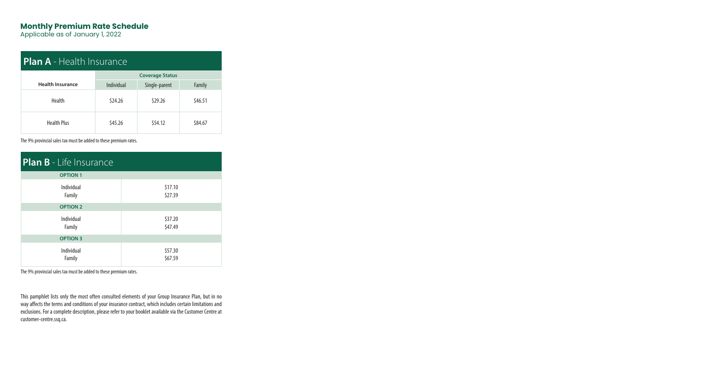# **Monthly Premium Rate Schedule**

Applicable as of January 1, 2022

| <b>Plan A</b> - Health Insurance |                        |               |         |  |
|----------------------------------|------------------------|---------------|---------|--|
|                                  | <b>Coverage Status</b> |               |         |  |
| <b>Health Insurance</b>          | Individual             | Single-parent | Family  |  |
| <b>Health</b>                    | \$24.26                | \$29.26       | \$46.51 |  |
| <b>Health Plus</b>               | \$45.26                | \$54.12       | \$84.67 |  |

The 9% provincial sales tax must be added to these premium rates.

| <b>Plan B</b> - Life Insurance |                    |  |  |  |
|--------------------------------|--------------------|--|--|--|
| <b>OPTION 1</b>                |                    |  |  |  |
| Individual<br>Family           | \$17.10<br>\$27.39 |  |  |  |
| <b>OPTION 2</b>                |                    |  |  |  |
| Individual<br>Family           | \$37.20<br>\$47.49 |  |  |  |
| <b>OPTION 3</b>                |                    |  |  |  |
| Individual<br>Family           | \$57.30<br>\$67.59 |  |  |  |

The 9% provincial sales tax must be added to these premium rates.

This pamphlet lists only the most often consulted elements of your Group Insurance Plan, but in no way affects the terms and conditions of your insurance contract, which includes certain limitations and exclusions. For a complete description, please refer to your booklet available via the Customer Centre at customer-centre.ssq.ca.